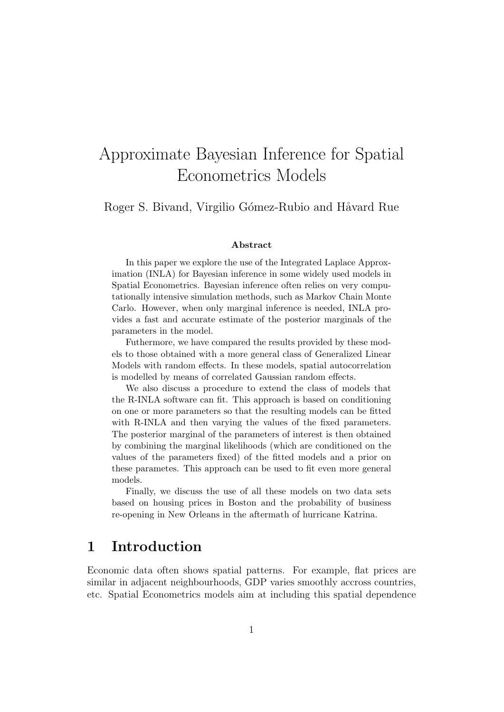# Approximate Bayesian Inference for Spatial Econometrics Models

Roger S. Bivand, Virgilio Gómez-Rubio and Håvard Rue

#### Abstract

In this paper we explore the use of the Integrated Laplace Approximation (INLA) for Bayesian inference in some widely used models in Spatial Econometrics. Bayesian inference often relies on very computationally intensive simulation methods, such as Markov Chain Monte Carlo. However, when only marginal inference is needed, INLA provides a fast and accurate estimate of the posterior marginals of the parameters in the model.

Futhermore, we have compared the results provided by these models to those obtained with a more general class of Generalized Linear Models with random effects. In these models, spatial autocorrelation is modelled by means of correlated Gaussian random effects.

We also discuss a procedure to extend the class of models that the R-INLA software can fit. This approach is based on conditioning on one or more parameters so that the resulting models can be fitted with R-INLA and then varying the values of the fixed parameters. The posterior marginal of the parameters of interest is then obtained by combining the marginal likelihoods (which are conditioned on the values of the parameters fixed) of the fitted models and a prior on these parametes. This approach can be used to fit even more general models.

Finally, we discuss the use of all these models on two data sets based on housing prices in Boston and the probability of business re-opening in New Orleans in the aftermath of hurricane Katrina.

## 1 Introduction

Economic data often shows spatial patterns. For example, flat prices are similar in adjacent neighbourhoods, GDP varies smoothly accross countries, etc. Spatial Econometrics models aim at including this spatial dependence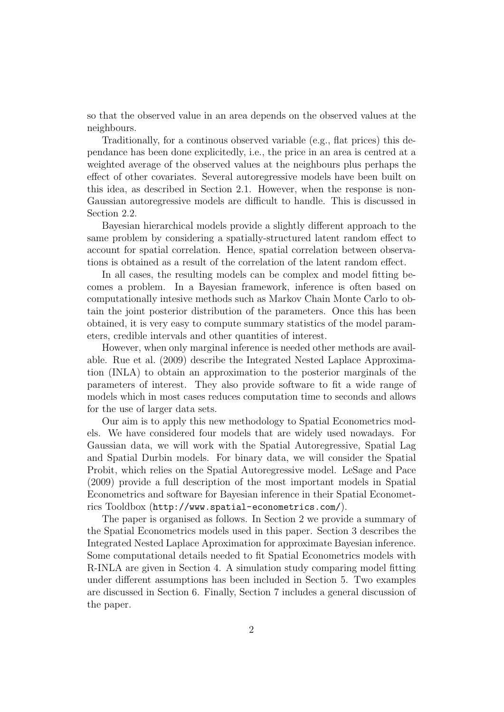so that the observed value in an area depends on the observed values at the neighbours.

Traditionally, for a continous observed variable (e.g., flat prices) this dependance has been done explicitedly, i.e., the price in an area is centred at a weighted average of the observed values at the neighbours plus perhaps the effect of other covariates. Several autoregressive models have been built on this idea, as described in Section 2.1. However, when the response is non-Gaussian autoregressive models are difficult to handle. This is discussed in Section 2.2.

Bayesian hierarchical models provide a slightly different approach to the same problem by considering a spatially-structured latent random effect to account for spatial correlation. Hence, spatial correlation between observations is obtained as a result of the correlation of the latent random effect.

In all cases, the resulting models can be complex and model fitting becomes a problem. In a Bayesian framework, inference is often based on computationally intesive methods such as Markov Chain Monte Carlo to obtain the joint posterior distribution of the parameters. Once this has been obtained, it is very easy to compute summary statistics of the model parameters, credible intervals and other quantities of interest.

However, when only marginal inference is needed other methods are available. Rue et al. (2009) describe the Integrated Nested Laplace Approximation (INLA) to obtain an approximation to the posterior marginals of the parameters of interest. They also provide software to fit a wide range of models which in most cases reduces computation time to seconds and allows for the use of larger data sets.

Our aim is to apply this new methodology to Spatial Econometrics models. We have considered four models that are widely used nowadays. For Gaussian data, we will work with the Spatial Autoregressive, Spatial Lag and Spatial Durbin models. For binary data, we will consider the Spatial Probit, which relies on the Spatial Autoregressive model. LeSage and Pace (2009) provide a full description of the most important models in Spatial Econometrics and software for Bayesian inference in their Spatial Econometrics Tooldbox (http://www.spatial-econometrics.com/).

The paper is organised as follows. In Section 2 we provide a summary of the Spatial Econometrics models used in this paper. Section 3 describes the Integrated Nested Laplace Aproximation for approximate Bayesian inference. Some computational details needed to fit Spatial Econometrics models with R-INLA are given in Section 4. A simulation study comparing model fitting under different assumptions has been included in Section 5. Two examples are discussed in Section 6. Finally, Section 7 includes a general discussion of the paper.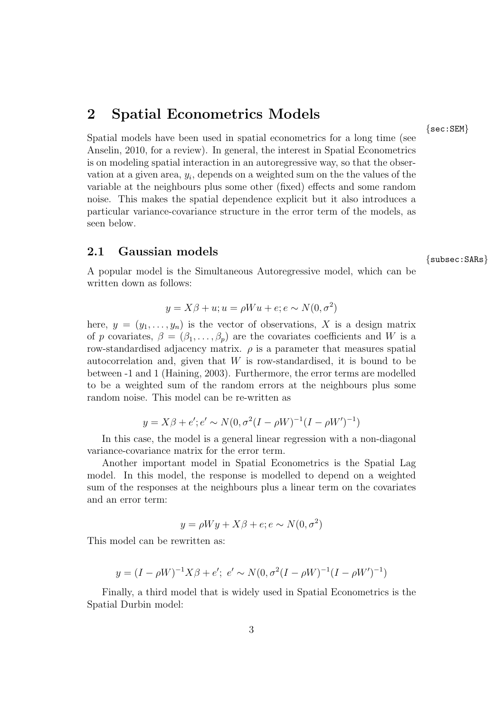## 2 Spatial Econometrics Models

Spatial models have been used in spatial econometrics for a long time (see Anselin, 2010, for a review). In general, the interest in Spatial Econometrics is on modeling spatial interaction in an autoregressive way, so that the observation at a given area,  $y_i$ , depends on a weighted sum on the the values of the variable at the neighbours plus some other (fixed) effects and some random noise. This makes the spatial dependence explicit but it also introduces a particular variance-covariance structure in the error term of the models, as seen below.

# $2.1$  Gaussian models  $\{$  subsec: SARs  $\}$

A popular model is the Simultaneous Autoregressive model, which can be written down as follows:

$$
y = X\beta + u; u = \rho W u + e; e \sim N(0, \sigma^2)
$$

here,  $y = (y_1, \ldots, y_n)$  is the vector of observations, X is a design matrix of p covariates,  $\beta = (\beta_1, \ldots, \beta_p)$  are the covariates coefficients and W is a row-standardised adjacency matrix.  $\rho$  is a parameter that measures spatial autocorrelation and, given that  $W$  is row-standardised, it is bound to be between -1 and 1 (Haining, 2003). Furthermore, the error terms are modelled to be a weighted sum of the random errors at the neighbours plus some random noise. This model can be re-written as

$$
y = X\beta + e'; e' \sim N(0, \sigma^2(I - \rho W)^{-1}(I - \rho W')^{-1})
$$

In this case, the model is a general linear regression with a non-diagonal variance-covariance matrix for the error term.

Another important model in Spatial Econometrics is the Spatial Lag model. In this model, the response is modelled to depend on a weighted sum of the responses at the neighbours plus a linear term on the covariates and an error term:

$$
y = \rho Wy + X\beta + e; e \sim N(0, \sigma^2)
$$

This model can be rewritten as:

$$
y = (I - \rho W)^{-1} X \beta + e'; \ e' \sim N(0, \sigma^2 (I - \rho W)^{-1} (I - \rho W')^{-1})
$$

Finally, a third model that is widely used in Spatial Econometrics is the Spatial Durbin model:

{sec:SEM}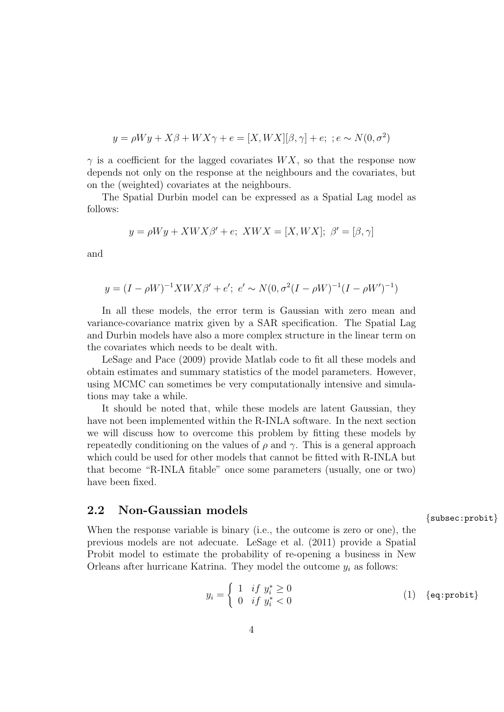$$
y = \rho Wy + X\beta + WX\gamma + e = [X,WX][\beta,\gamma] + e; \; ; e \sim N(0,\sigma^2)
$$

 $\gamma$  is a coefficient for the lagged covariates  $WX$ , so that the response now depends not only on the response at the neighbours and the covariates, but on the (weighted) covariates at the neighbours.

The Spatial Durbin model can be expressed as a Spatial Lag model as follows:

$$
y = \rho Wy + XWX\beta' + e; XWX = [X,WX]; \ \beta' = [\beta, \gamma]
$$

and

$$
y = (I - \rho W)^{-1} X W X \beta' + e'; e' \sim N(0, \sigma^2 (I - \rho W)^{-1} (I - \rho W')^{-1})
$$

In all these models, the error term is Gaussian with zero mean and variance-covariance matrix given by a SAR specification. The Spatial Lag and Durbin models have also a more complex structure in the linear term on the covariates which needs to be dealt with.

LeSage and Pace (2009) provide Matlab code to fit all these models and obtain estimates and summary statistics of the model parameters. However, using MCMC can sometimes be very computationally intensive and simulations may take a while.

It should be noted that, while these models are latent Gaussian, they have not been implemented within the R-INLA software. In the next section we will discuss how to overcome this problem by fitting these models by repeatedly conditioning on the values of  $\rho$  and  $\gamma$ . This is a general approach which could be used for other models that cannot be fitted with R-INLA but that become "R-INLA fitable" once some parameters (usually, one or two) have been fixed.

# 2.2 Non-Gaussian models {subsec:probit}

When the response variable is binary (i.e., the outcome is zero or one), the previous models are not adecuate. LeSage et al. (2011) provide a Spatial Probit model to estimate the probability of re-opening a business in New Orleans after hurricane Katrina. They model the outcome  $y_i$  as follows:

$$
y_i = \begin{cases} 1 & if \ y_i^* \ge 0 \\ 0 & if \ y_i^* < 0 \end{cases} \tag{1} \quad \text{{\{eq:probit\}}}
$$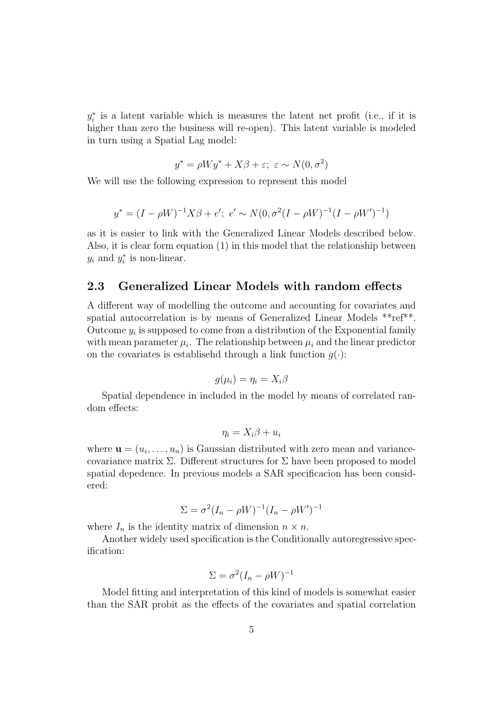$y_i^*$  is a latent variable which is measures the latent net profit (i.e., if it is higher than zero the business will re-open). This latent variable is modeled in turn using a Spatial Lag model:

$$
y^* = \rho Wy^* + X\beta + \varepsilon; \ \varepsilon \sim N(0, \sigma^2)
$$

We will use the following expression to represent this model

$$
y^* = (I - \rho W)^{-1} X \beta + e';\ e' \sim N(0, \sigma^2 (I - \rho W)^{-1} (I - \rho W')^{-1})
$$

as it is easier to link with the Generalized Linear Models described below. Also, it is clear form equation (1) in this model that the relationship between  $y_i$  and  $y_i^*$  is non-linear.

### 2.3 Generalized Linear Models with random effects

A different way of modelling the outcome and accounting for covariates and spatial autocorrelation is by means of Generalized Linear Models \*\*ref\*\*. Outcome  $y_i$  is supposed to come from a distribution of the Exponential family with mean parameter  $\mu_i$ . The relationship between  $\mu_i$  and the linear predictor on the covariates is establised through a link function  $g(\cdot)$ :

$$
g(\mu_i)=\eta_i=X_i\beta
$$

Spatial dependence in included in the model by means of correlated random effects:

$$
\eta_i = X_i \beta + u_i
$$

where  $\mathbf{u} = (u_1, \ldots, u_n)$  is Gaussian distributed with zero mean and variancecovariance matrix  $\Sigma$ . Different structures for  $\Sigma$  have been proposed to model spatial depedence. In previous models a SAR specificacion has been considered:

$$
\Sigma = \sigma^2 (I_n - \rho W)^{-1} (I_n - \rho W')^{-1}
$$

where  $I_n$  is the identity matrix of dimension  $n \times n$ .

Another widely used specification is the Conditionally autoregressive specification:

$$
\Sigma = \sigma^2 (I_n - \rho W)^{-1}
$$

Model fitting and interpretation of this kind of models is somewhat easier than the SAR probit as the effects of the covariates and spatial correlation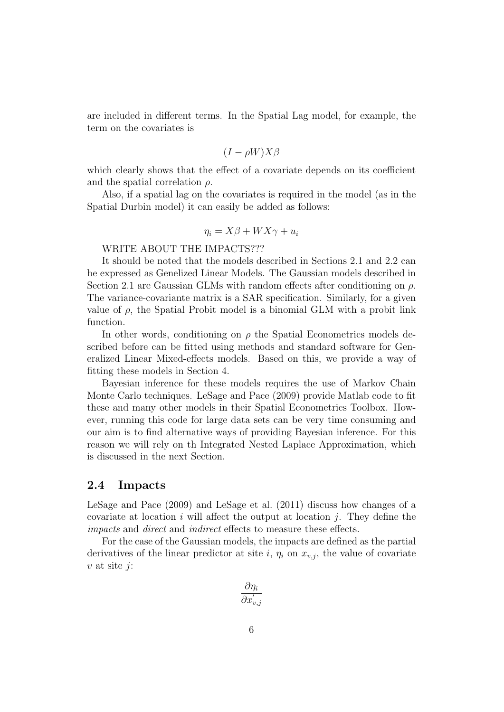are included in different terms. In the Spatial Lag model, for example, the term on the covariates is

$$
(I - \rho W)X\beta
$$

which clearly shows that the effect of a covariate depends on its coefficient and the spatial correlation  $\rho$ .

Also, if a spatial lag on the covariates is required in the model (as in the Spatial Durbin model) it can easily be added as follows:

$$
\eta_i = X\beta + W X\gamma + u_i
$$

WRITE ABOUT THE IMPACTS???

It should be noted that the models described in Sections 2.1 and 2.2 can be expressed as Genelized Linear Models. The Gaussian models described in Section 2.1 are Gaussian GLMs with random effects after conditioning on  $\rho$ . The variance-covariante matrix is a SAR specification. Similarly, for a given value of  $\rho$ , the Spatial Probit model is a binomial GLM with a probit link function.

In other words, conditioning on  $\rho$  the Spatial Econometrics models described before can be fitted using methods and standard software for Generalized Linear Mixed-effects models. Based on this, we provide a way of fitting these models in Section 4.

Bayesian inference for these models requires the use of Markov Chain Monte Carlo techniques. LeSage and Pace (2009) provide Matlab code to fit these and many other models in their Spatial Econometrics Toolbox. However, running this code for large data sets can be very time consuming and our aim is to find alternative ways of providing Bayesian inference. For this reason we will rely on th Integrated Nested Laplace Approximation, which is discussed in the next Section.

### 2.4 Impacts

LeSage and Pace (2009) and LeSage et al. (2011) discuss how changes of a covariate at location i will affect the output at location  $j$ . They define the impacts and direct and indirect effects to measure these effects.

For the case of the Gaussian models, the impacts are defined as the partial derivatives of the linear predictor at site i,  $\eta_i$  on  $x_{v,i}$ , the value of covariate  $v$  at site  $j$ :

$$
\frac{\partial \eta_i}{\partial x_{v,j}'}
$$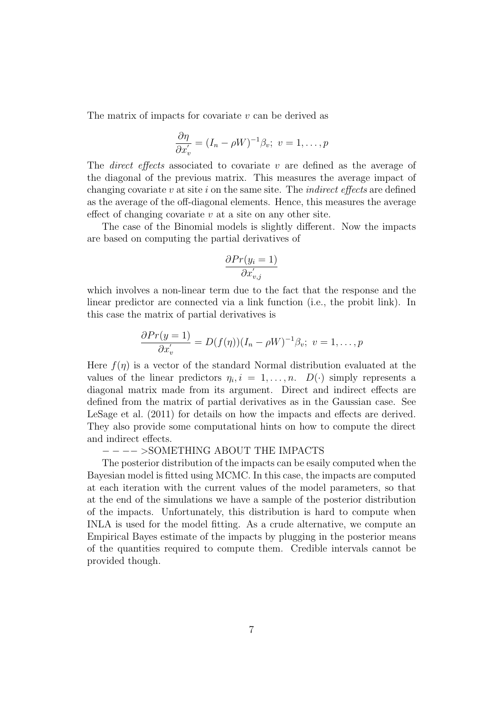The matrix of impacts for covariate v can be derived as

$$
\frac{\partial \eta}{\partial x'_v} = (I_n - \rho W)^{-1} \beta_v; \ v = 1, \dots, p
$$

The *direct effects* associated to covariate v are defined as the average of the diagonal of the previous matrix. This measures the average impact of changing covariate  $v$  at site  $i$  on the same site. The *indirect effects* are defined as the average of the off-diagonal elements. Hence, this measures the average effect of changing covariate  $v$  at a site on any other site.

The case of the Binomial models is slightly different. Now the impacts are based on computing the partial derivatives of

$$
\frac{\partial Pr(y_i = 1)}{\partial x'_{v,j}}
$$

which involves a non-linear term due to the fact that the response and the linear predictor are connected via a link function (i.e., the probit link). In this case the matrix of partial derivatives is

$$
\frac{\partial Pr(y=1)}{\partial x'_v} = D(f(\eta))(I_n - \rho W)^{-1}\beta_v; \ v = 1, \dots, p
$$

Here  $f(\eta)$  is a vector of the standard Normal distribution evaluated at the values of the linear predictors  $\eta_i, i = 1, \ldots, n$ .  $D(\cdot)$  simply represents a diagonal matrix made from its argument. Direct and indirect effects are defined from the matrix of partial derivatives as in the Gaussian case. See LeSage et al. (2011) for details on how the impacts and effects are derived. They also provide some computational hints on how to compute the direct and indirect effects.

#### − − −− >SOMETHING ABOUT THE IMPACTS

The posterior distribution of the impacts can be esaily computed when the Bayesian model is fitted using MCMC. In this case, the impacts are computed at each iteration with the current values of the model parameters, so that at the end of the simulations we have a sample of the posterior distribution of the impacts. Unfortunately, this distribution is hard to compute when INLA is used for the model fitting. As a crude alternative, we compute an Empirical Bayes estimate of the impacts by plugging in the posterior means of the quantities required to compute them. Credible intervals cannot be provided though.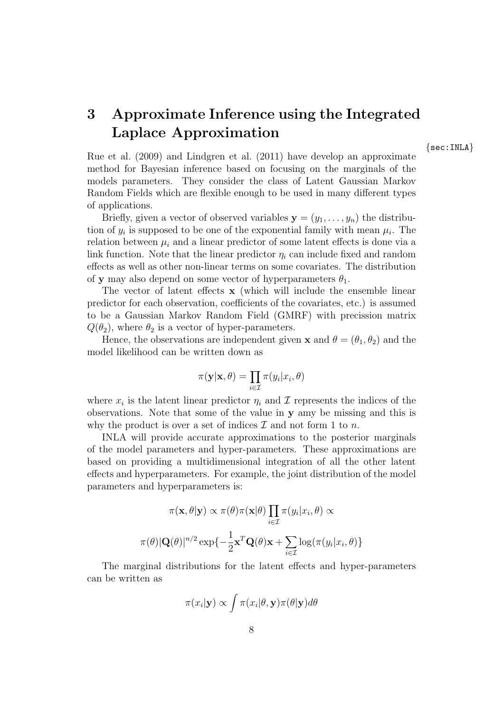# 3 Approximate Inference using the Integrated Laplace Approximation

{sec:INLA}

Rue et al. (2009) and Lindgren et al. (2011) have develop an approximate method for Bayesian inference based on focusing on the marginals of the models parameters. They consider the class of Latent Gaussian Markov Random Fields which are flexible enough to be used in many different types of applications.

Briefly, given a vector of observed variables  $y = (y_1, \ldots, y_n)$  the distribution of  $y_i$  is supposed to be one of the exponential family with mean  $\mu_i$ . The relation between  $\mu_i$  and a linear predictor of some latent effects is done via a link function. Note that the linear predictor  $\eta_i$  can include fixed and random effects as well as other non-linear terms on some covariates. The distribution of y may also depend on some vector of hyperparameters  $\theta_1$ .

The vector of latent effects x (which will include the ensemble linear predictor for each observation, coefficients of the covariates, etc.) is assumed to be a Gaussian Markov Random Field (GMRF) with precission matrix  $Q(\theta_2)$ , where  $\theta_2$  is a vector of hyper-parameters.

Hence, the observations are independent given **x** and  $\theta = (\theta_1, \theta_2)$  and the model likelihood can be written down as

$$
\pi(\mathbf{y}|\mathbf{x}, \theta) = \prod_{i \in \mathcal{I}} \pi(y_i|x_i, \theta)
$$

where  $x_i$  is the latent linear predictor  $\eta_i$  and  $\mathcal I$  represents the indices of the observations. Note that some of the value in y amy be missing and this is why the product is over a set of indices  $\mathcal I$  and not form 1 to n.

INLA will provide accurate approximations to the posterior marginals of the model parameters and hyper-parameters. These approximations are based on providing a multidimensional integration of all the other latent effects and hyperparameters. For example, the joint distribution of the model parameters and hyperparameters is:

$$
\pi(\mathbf{x}, \theta | \mathbf{y}) \propto \pi(\theta) \pi(\mathbf{x} | \theta) \prod_{i \in \mathcal{I}} \pi(y_i | x_i, \theta) \propto
$$

$$
\pi(\theta) |\mathbf{Q}(\theta)|^{n/2} \exp\{-\frac{1}{2}\mathbf{x}^T \mathbf{Q}(\theta)\mathbf{x} + \sum_{i \in \mathcal{I}} \log(\pi(y_i | x_i, \theta))\}
$$

The marginal distributions for the latent effects and hyper-parameters can be written as

$$
\pi(x_i|\mathbf{y}) \propto \int \pi(x_i|\theta, \mathbf{y}) \pi(\theta|\mathbf{y}) d\theta
$$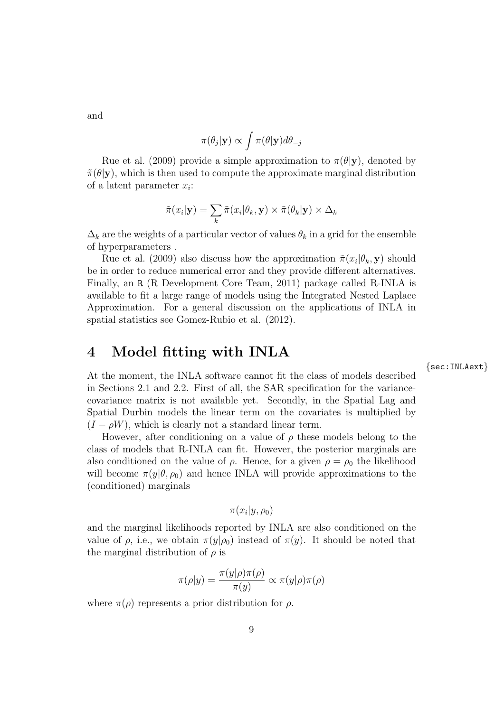and

$$
\pi(\theta_j|\mathbf{y}) \propto \int \pi(\theta|\mathbf{y}) d\theta_{-j}
$$

Rue et al. (2009) provide a simple approximation to  $\pi(\theta|\mathbf{y})$ , denoted by  $\tilde{\pi}(\theta|\mathbf{y})$ , which is then used to compute the approximate marginal distribution of a latent parameter  $x_i$ :

$$
\tilde{\pi}(x_i|\mathbf{y}) = \sum_k \tilde{\pi}(x_i|\theta_k, \mathbf{y}) \times \tilde{\pi}(\theta_k|\mathbf{y}) \times \Delta_k
$$

 $\Delta_k$  are the weights of a particular vector of values  $\theta_k$  in a grid for the ensemble of hyperparameters .

Rue et al. (2009) also discuss how the approximation  $\tilde{\pi}(x_i|\theta_k, \mathbf{y})$  should be in order to reduce numerical error and they provide different alternatives. Finally, an R (R Development Core Team, 2011) package called R-INLA is available to fit a large range of models using the Integrated Nested Laplace Approximation. For a general discussion on the applications of INLA in spatial statistics see Gomez-Rubio et al. (2012).

## 4 Model fitting with INLA

At the moment, the INLA software cannot fit the class of models described in Sections 2.1 and 2.2. First of all, the SAR specification for the variancecovariance matrix is not available yet. Secondly, in the Spatial Lag and Spatial Durbin models the linear term on the covariates is multiplied by  $(I - \rho W)$ , which is clearly not a standard linear term.

However, after conditioning on a value of  $\rho$  these models belong to the class of models that R-INLA can fit. However, the posterior marginals are also conditioned on the value of  $\rho$ . Hence, for a given  $\rho = \rho_0$  the likelihood will become  $\pi(y|\theta, \rho_0)$  and hence INLA will provide approximations to the (conditioned) marginals

$$
\pi(x_i|y,\rho_0)
$$

and the marginal likelihoods reported by INLA are also conditioned on the value of  $\rho$ , i.e., we obtain  $\pi(y|\rho_0)$  instead of  $\pi(y)$ . It should be noted that the marginal distribution of  $\rho$  is

$$
\pi(\rho|y) = \frac{\pi(y|\rho)\pi(\rho)}{\pi(y)} \propto \pi(y|\rho)\pi(\rho)
$$

where  $\pi(\rho)$  represents a prior distribution for  $\rho$ .

{sec:INLAext}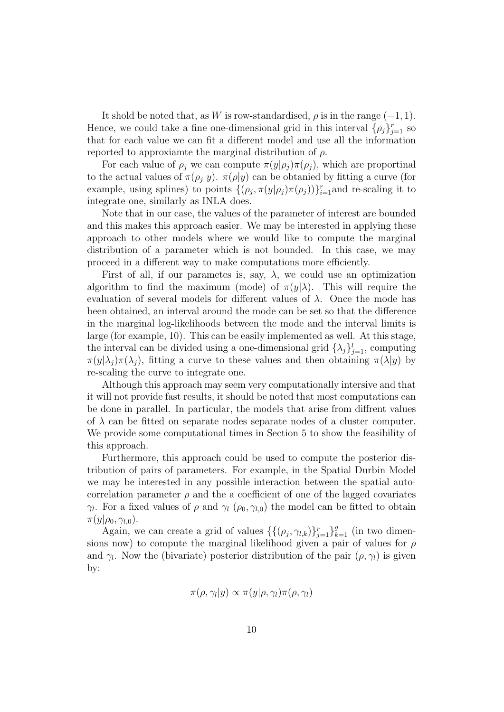It shold be noted that, as W is row-standardised,  $\rho$  is in the range  $(-1, 1)$ . Hence, we could take a fine one-dimensional grid in this interval  $\{\rho_j\}_{j=1}^r$  so that for each value we can fit a different model and use all the information reported to approxiamte the marginal distribution of  $\rho$ .

For each value of  $\rho_j$  we can compute  $\pi(y|\rho_j)\pi(\rho_j)$ , which are proportinal to the actual values of  $\pi(\rho_j|y)$ .  $\pi(\rho|y)$  can be obtanied by fitting a curve (for example, using splines) to points  $\{(\rho_j, \pi(y|\rho_j) \pi(\rho_j))\}_{i=1}^r$  and re-scaling it to integrate one, similarly as INLA does.

Note that in our case, the values of the parameter of interest are bounded and this makes this approach easier. We may be interested in applying these approach to other models where we would like to compute the marginal distribution of a parameter which is not bounded. In this case, we may proceed in a different way to make computations more efficiently.

First of all, if our parametes is, say,  $\lambda$ , we could use an optimization algorithm to find the maximum (mode) of  $\pi(y|\lambda)$ . This will require the evaluation of several models for different values of  $\lambda$ . Once the mode has been obtained, an interval around the mode can be set so that the difference in the marginal log-likelihoods between the mode and the interval limits is large (for example, 10). This can be easily implemented as well. At this stage, the interval can be divided using a one-dimensional grid  $\{\lambda_j\}_{j=1}^l$ , computing  $\pi(y|\lambda_i)\pi(\lambda_i)$ , fitting a curve to these values and then obtaining  $\pi(\lambda|y)$  by re-scaling the curve to integrate one.

Although this approach may seem very computationally intersive and that it will not provide fast results, it should be noted that most computations can be done in parallel. In particular, the models that arise from diffrent values of  $\lambda$  can be fitted on separate nodes separate nodes of a cluster computer. We provide some computational times in Section 5 to show the feasibility of this approach.

Furthermore, this approach could be used to compute the posterior distribution of pairs of parameters. For example, in the Spatial Durbin Model we may be interested in any possible interaction between the spatial autocorrelation parameter  $\rho$  and the a coefficient of one of the lagged covariates  $\gamma_l$ . For a fixed values of  $\rho$  and  $\gamma_l$  ( $\rho_0$ ,  $\gamma_{l,0}$ ) the model can be fitted to obtain  $\pi(y|\rho_0, \gamma_{l,0}).$ 

Again, we can create a grid of values  $\{\{(\rho_j, \gamma_{l,k})\}_{j=1}^r\}_{k=1}^g$  (in two dimensions now) to compute the marginal likelihood given a pair of values for  $\rho$ and  $\gamma_l$ . Now the (bivariate) posterior distribution of the pair  $(\rho, \gamma_l)$  is given by:

$$
\pi(\rho, \gamma_l|y) \propto \pi(y|\rho, \gamma_l)\pi(\rho, \gamma_l)
$$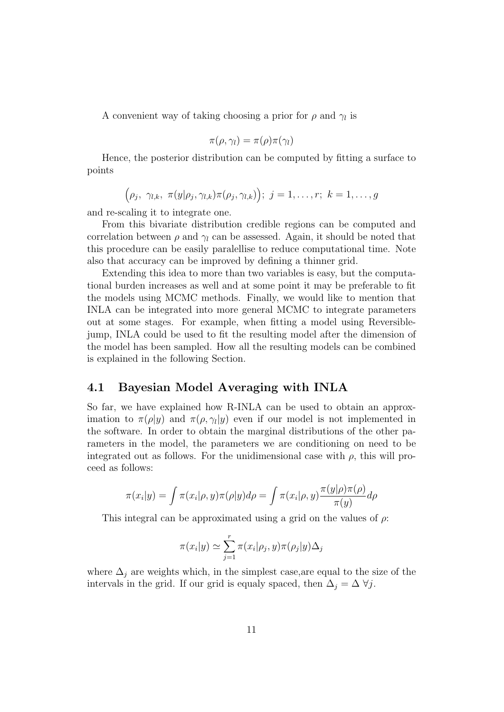A convenient way of taking choosing a prior for  $\rho$  and  $\gamma_l$  is

$$
\pi(\rho,\gamma_l)=\pi(\rho)\pi(\gamma_l)
$$

Hence, the posterior distribution can be computed by fitting a surface to points

$$
(\rho_j, \ \gamma_{l,k}, \ \pi(y|\rho_j, \gamma_{l,k})\pi(\rho_j, \gamma_{l,k})) ;\ j=1,\ldots,r; \ k=1,\ldots,g
$$

and re-scaling it to integrate one.

From this bivariate distribution credible regions can be computed and correlation between  $\rho$  and  $\gamma_l$  can be assessed. Again, it should be noted that this procedure can be easily paralellise to reduce computational time. Note also that accuracy can be improved by defining a thinner grid.

Extending this idea to more than two variables is easy, but the computational burden increases as well and at some point it may be preferable to fit the models using MCMC methods. Finally, we would like to mention that INLA can be integrated into more general MCMC to integrate parameters out at some stages. For example, when fitting a model using Reversiblejump, INLA could be used to fit the resulting model after the dimension of the model has been sampled. How all the resulting models can be combined is explained in the following Section.

## 4.1 Bayesian Model Averaging with INLA

So far, we have explained how R-INLA can be used to obtain an approximation to  $\pi(\rho|y)$  and  $\pi(\rho, \gamma_l|y)$  even if our model is not implemented in the software. In order to obtain the marginal distributions of the other parameters in the model, the parameters we are conditioning on need to be integrated out as follows. For the unidimensional case with  $\rho$ , this will proceed as follows:

$$
\pi(x_i|y) = \int \pi(x_i|\rho, y)\pi(\rho|y)d\rho = \int \pi(x_i|\rho, y)\frac{\pi(y|\rho)\pi(\rho)}{\pi(y)}d\rho
$$

This integral can be approximated using a grid on the values of  $\rho$ :

$$
\pi(x_i|y) \simeq \sum_{j=1}^r \pi(x_i|\rho_j, y)\pi(\rho_j|y)\Delta_j
$$

where  $\Delta_j$  are weights which, in the simplest case, are equal to the size of the intervals in the grid. If our grid is equaly spaced, then  $\Delta_j = \Delta \ \forall j$ .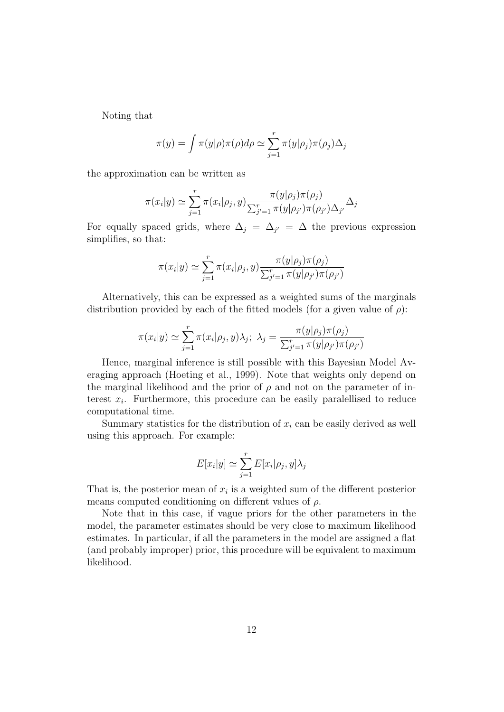Noting that

$$
\pi(y) = \int \pi(y|\rho)\pi(\rho)d\rho \simeq \sum_{j=1}^r \pi(y|\rho_j)\pi(\rho_j)\Delta_j
$$

the approximation can be written as

$$
\pi(x_i|y) \simeq \sum_{j=1}^r \pi(x_i|\rho_j, y) \frac{\pi(y|\rho_j)\pi(\rho_j)}{\sum_{j'=1}^r \pi(y|\rho_{j'})\pi(\rho_{j'})\Delta_{j'}} \Delta_j
$$

For equally spaced grids, where  $\Delta_j = \Delta_{j'} = \Delta$  the previous expression simplifies, so that:

$$
\pi(x_i|y) \simeq \sum_{j=1}^r \pi(x_i|\rho_j, y) \frac{\pi(y|\rho_j)\pi(\rho_j)}{\sum_{j'=1}^r \pi(y|\rho_{j'})\pi(\rho_{j'})}
$$

Alternatively, this can be expressed as a weighted sums of the marginals distribution provided by each of the fitted models (for a given value of  $\rho$ ):

$$
\pi(x_i|y) \simeq \sum_{j=1}^r \pi(x_i|\rho_j, y)\lambda_j; \ \lambda_j = \frac{\pi(y|\rho_j)\pi(\rho_j)}{\sum_{j'=1}^r \pi(y|\rho_{j'})\pi(\rho_{j'})}
$$

Hence, marginal inference is still possible with this Bayesian Model Averaging approach (Hoeting et al., 1999). Note that weights only depend on the marginal likelihood and the prior of  $\rho$  and not on the parameter of interest  $x_i$ . Furthermore, this procedure can be easily paralellised to reduce computational time.

Summary statistics for the distribution of  $x_i$  can be easily derived as well using this approach. For example:

$$
E[x_i|y] \simeq \sum_{j=1}^r E[x_i|\rho_j, y] \lambda_j
$$

That is, the posterior mean of  $x_i$  is a weighted sum of the different posterior means computed conditioning on different values of  $\rho$ .

Note that in this case, if vague priors for the other parameters in the model, the parameter estimates should be very close to maximum likelihood estimates. In particular, if all the parameters in the model are assigned a flat (and probably improper) prior, this procedure will be equivalent to maximum likelihood.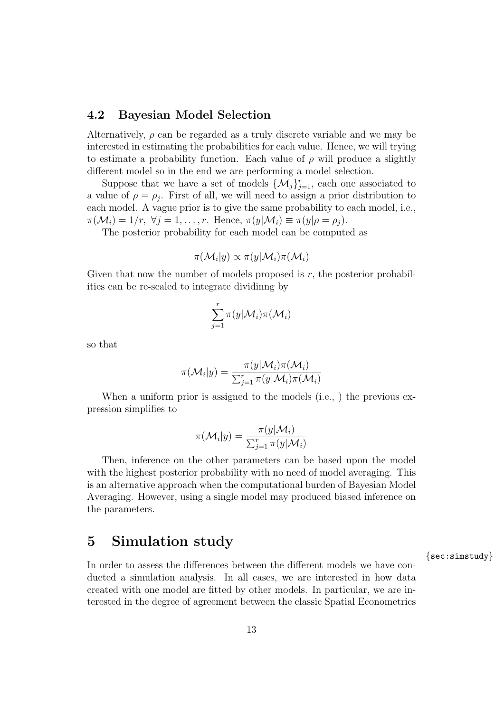## 4.2 Bayesian Model Selection

Alternatively,  $\rho$  can be regarded as a truly discrete variable and we may be interested in estimating the probabilities for each value. Hence, we will trying to estimate a probability function. Each value of  $\rho$  will produce a slightly different model so in the end we are performing a model selection.

Suppose that we have a set of models  $\{\mathcal{M}_j\}_{j=1}^r$ , each one associated to a value of  $\rho = \rho_j$ . First of all, we will need to assign a prior distribution to each model. A vague prior is to give the same probability to each model, i.e.,  $\pi(\mathcal{M}_i) = 1/r$ ,  $\forall j = 1, \ldots, r$ . Hence,  $\pi(y|\mathcal{M}_i) \equiv \pi(y|\rho = \rho_i)$ .

The posterior probability for each model can be computed as

$$
\pi(\mathcal{M}_i|y) \propto \pi(y|\mathcal{M}_i)\pi(\mathcal{M}_i)
$$

Given that now the number of models proposed is  $r$ , the posterior probabilities can be re-scaled to integrate dividinng by

$$
\sum_{j=1}^r \pi(y|\mathcal{M}_i)\pi(\mathcal{M}_i)
$$

so that

$$
\pi(\mathcal{M}_i|y) = \frac{\pi(y|\mathcal{M}_i)\pi(\mathcal{M}_i)}{\sum_{j=1}^r \pi(y|\mathcal{M}_i)\pi(\mathcal{M}_i)}
$$

When a uniform prior is assigned to the models (i.e., ) the previous expression simplifies to

$$
\pi(\mathcal{M}_i|y) = \frac{\pi(y|\mathcal{M}_i)}{\sum_{j=1}^r \pi(y|\mathcal{M}_i)}
$$

Then, inference on the other parameters can be based upon the model with the highest posterior probability with no need of model averaging. This is an alternative approach when the computational burden of Bayesian Model Averaging. However, using a single model may produced biased inference on the parameters.

## 5 Simulation study

In order to assess the differences between the different models we have conducted a simulation analysis. In all cases, we are interested in how data created with one model are fitted by other models. In particular, we are interested in the degree of agreement between the classic Spatial Econometrics {sec:simstudy}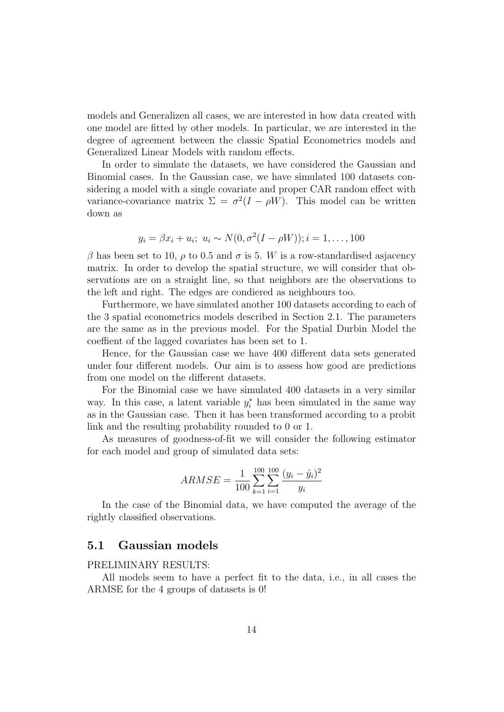models and Generalizen all cases, we are interested in how data created with one model are fitted by other models. In particular, we are interested in the degree of agreement between the classic Spatial Econometrics models and Generalized Linear Models with random effects.

In order to simulate the datasets, we have considered the Gaussian and Binomial cases. In the Gaussian case, we have simulated 100 datasets considering a model with a single covariate and proper CAR random effect with variance-covariance matrix  $\Sigma = \sigma^2(I - \rho W)$ . This model can be written down as

$$
y_i = \beta x_i + u_i; \ u_i \sim N(0, \sigma^2(I - \rho W)); i = 1, ..., 100
$$

β has been set to 10,  $ρ$  to 0.5 and  $σ$  is 5. W is a row-standardised asjacency matrix. In order to develop the spatial structure, we will consider that observations are on a straight line, so that neighbors are the observations to the left and right. The edges are condiered as neighbours too.

Furthermore, we have simulated another 100 datasets according to each of the 3 spatial econometrics models described in Section 2.1. The parameters are the same as in the previous model. For the Spatial Durbin Model the coeffient of the lagged covariates has been set to 1.

Hence, for the Gaussian case we have 400 different data sets generated under four different models. Our aim is to assess how good are predictions from one model on the different datasets.

For the Binomial case we have simulated 400 datasets in a very similar way. In this case, a latent variable  $y_i^*$  has been simulated in the same way as in the Gaussian case. Then it has been transformed according to a probit link and the resulting probability rounded to 0 or 1.

As measures of goodness-of-fit we will consider the following estimator for each model and group of simulated data sets:

$$
ARMSE = \frac{1}{100} \sum_{k=1}^{100} \sum_{i=1}^{100} \frac{(y_i - \hat{y}_i)^2}{y_i}
$$

In the case of the Binomial data, we have computed the average of the rightly classified observations.

## 5.1 Gaussian models

#### PRELIMINARY RESULTS:

All models seem to have a perfect fit to the data, i.e., in all cases the ARMSE for the 4 groups of datasets is 0!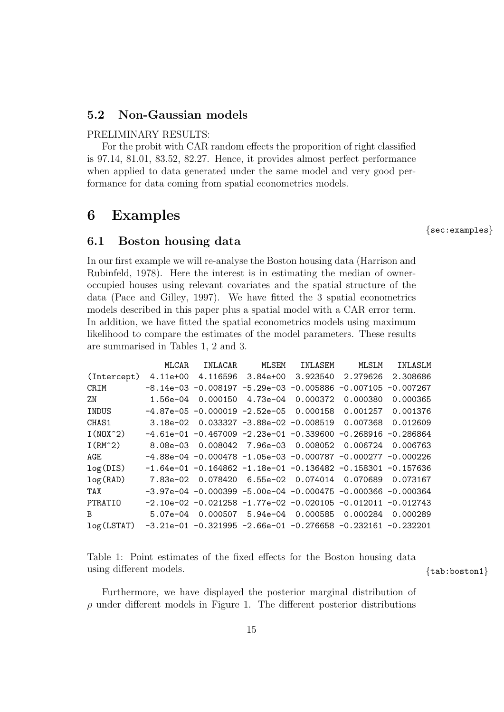## 5.2 Non-Gaussian models

#### PRELIMINARY RESULTS:

For the probit with CAR random effects the proporition of right classified is 97.14, 81.01, 83.52, 82.27. Hence, it provides almost perfect performance when applied to data generated under the same model and very good performance for data coming from spatial econometrics models.

## 6 Examples

{sec:examples}

#### 6.1 Boston housing data

In our first example we will re-analyse the Boston housing data (Harrison and Rubinfeld, 1978). Here the interest is in estimating the median of owneroccupied houses using relevant covariates and the spatial structure of the data (Pace and Gilley, 1997). We have fitted the 3 spatial econometrics models described in this paper plus a spatial model with a CAR error term. In addition, we have fitted the spatial econometrics models using maximum likelihood to compare the estimates of the model parameters. These results are summarised in Tables 1, 2 and 3.

|                   | MLCAR                                                       | INLACAR  | MLSEM | INLASEM                                      | MLSLM                                                                   | INLASLM  |
|-------------------|-------------------------------------------------------------|----------|-------|----------------------------------------------|-------------------------------------------------------------------------|----------|
| (Intercept)       | 4.11e+00                                                    |          |       | 4.116596 3.84e+00 3.923540                   | 2.279626                                                                | 2.308686 |
| CRIM              |                                                             |          |       |                                              | $-8.14e-03 -0.008197 -5.29e-03 -0.005886 -0.007105 -0.007267$           |          |
| ZN                | 1.56e-04                                                    | 0.000150 |       | 4.73e-04 0.000372                            | 0.000380                                                                | 0.000365 |
| INDUS             |                                                             |          |       | $-4.87e-05$ $-0.000019$ $-2.52e-05$ 0.000158 | 0.001257                                                                | 0.001376 |
| CHAS <sub>1</sub> |                                                             |          |       |                                              | $3.18e-02$ 0.033327 $-3.88e-02$ $-0.008519$ 0.007368                    | 0.012609 |
| $I(M0X^2)$        |                                                             |          |       |                                              | $-4.61e-01$ -0.467009 -2.23e-01 -0.339600 -0.268916 -0.286864           |          |
| $I(RM^2)$         |                                                             |          |       | 8.08e-03  0.008042  7.96e-03  0.008052       | 0.006724                                                                | 0.006763 |
| AGE               |                                                             |          |       |                                              | $-4.88e-04$ -0.000478 -1.05e-03 -0.000787 -0.000277 -0.000226           |          |
| log(DIS)          |                                                             |          |       |                                              | $-1.64e-01$ $-0.164862$ $-1.18e-01$ $-0.136482$ $-0.158301$ $-0.157636$ |          |
| log(RAD)          |                                                             |          |       |                                              | 7.83e-02  0.078420  6.55e-02  0.074014  0.070689                        | 0.073167 |
| TAX               |                                                             |          |       |                                              | $-3.97e-04$ -0.000399 -5.00e-04 -0.000475 -0.000366 -0.000364           |          |
| PTRATIO           |                                                             |          |       |                                              | $-2.10e-02$ $-0.021258$ $-1.77e-02$ $-0.020105$ $-0.012011$ $-0.012743$ |          |
| B                 |                                                             |          |       |                                              | 5.07e-04 0.000507 5.94e-04 0.000585 0.000284                            | 0.000289 |
| log(LSTAT)        | -3.21e-01 -0.321995 -2.66e-01 -0.276658 -0.232161 -0.232201 |          |       |                                              |                                                                         |          |

Table 1: Point estimates of the fixed effects for the Boston housing data using different models.  $\{tab:boston1\}$ 

Furthermore, we have displayed the posterior marginal distribution of  $\rho$  under different models in Figure 1. The different posterior distributions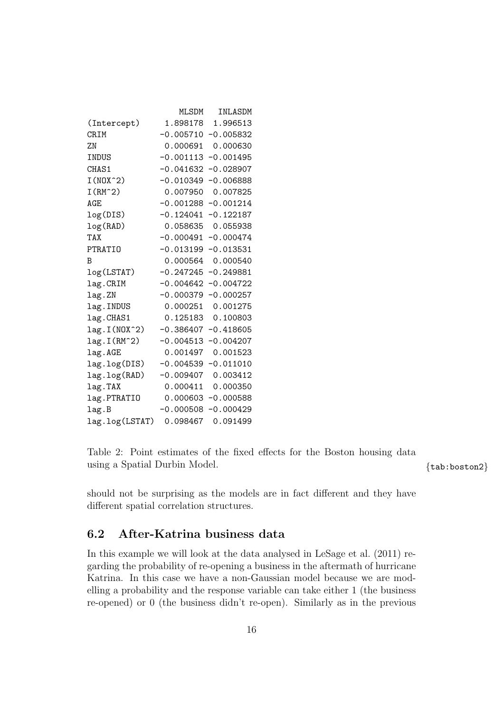|                            | MLSDM                | INLASDM     |
|----------------------------|----------------------|-------------|
| (Intercept)                | 1.898178             | 1.996513    |
| CRIM                       | $-0.005710$          | $-0.005832$ |
| 7.N                        | 0.000691             | 0.000630    |
| INDUS                      | $-0.001113$          | $-0.001495$ |
| CHAS1                      | $-0.041632$          | $-0.028907$ |
| $I(N0X^2)$                 | $-0.010349$          | $-0.006888$ |
| $I(RM^2)$                  | 0.007950             | 0.007825    |
| AGE                        | $-0.001288$          | $-0.001214$ |
| log(DIS)                   | $-0.124041$          | $-0.122187$ |
| log(RAD)                   | 0.058635             | 0.055938    |
| TAX                        | $-0.000491$          | $-0.000474$ |
| <b>PTRATIO</b>             | $-0.013199$          | $-0.013531$ |
| B                          | 0.000564             | 0.000540    |
| log(LSTAT)                 | $-0.247245$          | $-0.249881$ |
| lag.CRIM                   | $-0.004642$          | $-0.004722$ |
| lag.ZN                     | $-0.000379$          | $-0.000257$ |
| lag. INDUS                 | 0.000251             | 0.001275    |
| lag.CHAS1                  | 0.125183             | 0.100803    |
| lag. I (NOX <sup>-2)</sup> | $-0.386407$          | $-0.418605$ |
| $lag.I(RM^2)$              | $-0.004513$          | $-0.004207$ |
| lag.AGE                    | 0.001497             | 0.001523    |
| lag.log(DIS)               | $-0.004539$          | $-0.011010$ |
| lag.log(RAD)               | $-0.009407$ 0.003412 |             |
| lag.TAX                    | 0.000411             | 0.000350    |
| lag.PTRATIO                | 0.000603             | $-0.000588$ |
| lag.B                      | $-0.000508$          | $-0.000429$ |
| lag.log(LSTAT)             | 0.098467             | 0.091499    |

Table 2: Point estimates of the fixed effects for the Boston housing data using a Spatial Durbin Model.  $\{tab:boston2\}$ 

should not be surprising as the models are in fact different and they have different spatial correlation structures.

## 6.2 After-Katrina business data

In this example we will look at the data analysed in LeSage et al. (2011) regarding the probability of re-opening a business in the aftermath of hurricane Katrina. In this case we have a non-Gaussian model because we are modelling a probability and the response variable can take either 1 (the business re-opened) or 0 (the business didn't re-open). Similarly as in the previous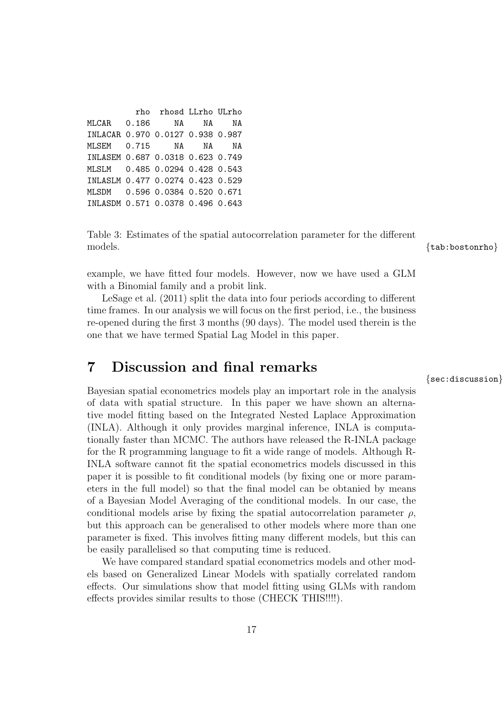|                                  | rho rhosd LLrho ULrho |    |
|----------------------------------|-----------------------|----|
| MLCAR 0.186 NA NA                |                       | ΝA |
| INLACAR 0.970 0.0127 0.938 0.987 |                       |    |
| MLSEM 0.715 NA NA                |                       | ΝA |
| INLASEM 0.687 0.0318 0.623 0.749 |                       |    |
| MLSLM 0.485 0.0294 0.428 0.543   |                       |    |
| INLASLM 0.477 0.0274 0.423 0.529 |                       |    |
| MLSDM 0.596 0.0384 0.520 0.671   |                       |    |
| INLASDM 0.571 0.0378 0.496 0.643 |                       |    |

Table 3: Estimates of the spatial autocorrelation parameter for the different models.  $\{lab; \text{boston} \}$ 

example, we have fitted four models. However, now we have used a GLM with a Binomial family and a probit link.

LeSage et al. (2011) split the data into four periods according to different time frames. In our analysis we will focus on the first period, i.e., the business re-opened during the first 3 months (90 days). The model used therein is the one that we have termed Spatial Lag Model in this paper.

## 7 Discussion and final remarks

Bayesian spatial econometrics models play an importart role in the analysis of data with spatial structure. In this paper we have shown an alternative model fitting based on the Integrated Nested Laplace Approximation (INLA). Although it only provides marginal inference, INLA is computationally faster than MCMC. The authors have released the R-INLA package for the R programming language to fit a wide range of models. Although R-INLA software cannot fit the spatial econometrics models discussed in this paper it is possible to fit conditional models (by fixing one or more parameters in the full model) so that the final model can be obtanied by means of a Bayesian Model Averaging of the conditional models. In our case, the conditional models arise by fixing the spatial autocorrelation parameter  $\rho$ , but this approach can be generalised to other models where more than one parameter is fixed. This involves fitting many different models, but this can be easily parallelised so that computing time is reduced.

We have compared standard spatial econometrics models and other models based on Generalized Linear Models with spatially correlated random effects. Our simulations show that model fitting using GLMs with random effects provides similar results to those (CHECK THIS!!!!).

{sec:discussion}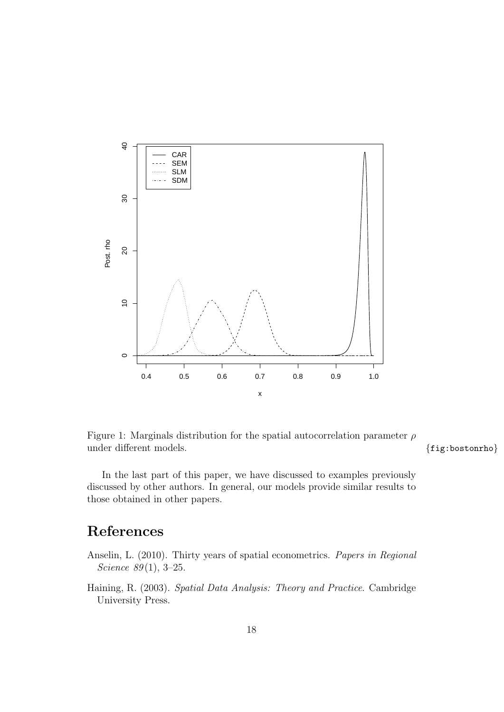

Figure 1: Marginals distribution for the spatial autocorrelation parameter  $\rho$ under different models.  ${fig:bostonrho}$ 

In the last part of this paper, we have discussed to examples previously discussed by other authors. In general, our models provide similar results to those obtained in other papers.

## References

Anselin, L. (2010). Thirty years of spatial econometrics. Papers in Regional Science  $89(1)$ , 3-25.

Haining, R. (2003). Spatial Data Analysis: Theory and Practice. Cambridge University Press.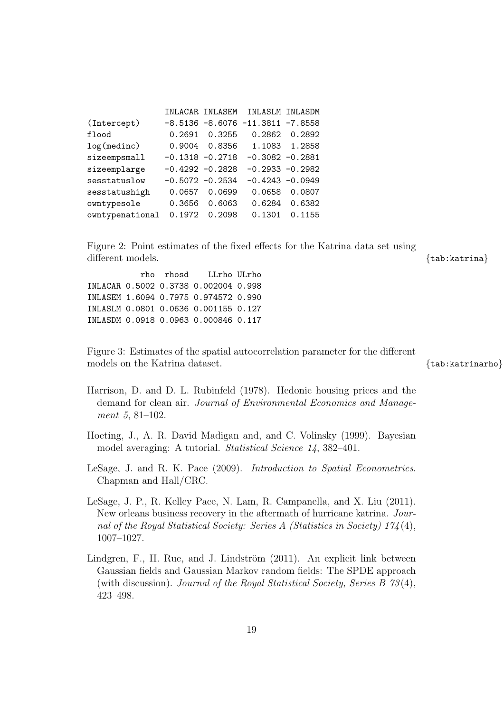|                 |                    |        | INLACAR INLASEM INLASLM INLASDM       |               |
|-----------------|--------------------|--------|---------------------------------------|---------------|
| (Intercept)     |                    |        | $-8.5136 - 8.6076 - 11.3811 - 7.8558$ |               |
| flood           | 0.2691             | 0.3255 |                                       | 0.2862 0.2892 |
| log(medinc)     | 0.9004             | 0.8356 |                                       | 1.1083 1.2858 |
| sizeempsmall    | $-0.1318 - 0.2718$ |        | $-0.3082 -0.2881$                     |               |
| sizeemplarge    | $-0.4292 - 0.2828$ |        | $-0.2933 - 0.2982$                    |               |
| sesstatuslow    | $-0.5072 -0.2534$  |        | $-0.4243 - 0.0949$                    |               |
| sesstatushigh   | 0.0657             | 0.0699 | 0.0658                                | 0.0807        |
| owntypesole     | 0.3656             | 0.6063 | 0.6284                                | 0.6382        |
| owntypenational | 0.1972             | 0.2098 | 0.1301                                | 0.1155        |

Figure 2: Point estimates of the fixed effects for the Katrina data set using different models.  $\{tab:statrina\}$ 

rho rhosd LLrho ULrho INLACAR 0.5002 0.3738 0.002004 0.998 INLASEM 1.6094 0.7975 0.974572 0.990 INLASLM 0.0801 0.0636 0.001155 0.127 INLASDM 0.0918 0.0963 0.000846 0.117

Figure 3: Estimates of the spatial autocorrelation parameter for the different models on the Katrina dataset.  ${x \rightarrow s}$  and  ${x \rightarrow s}$  and  ${x \rightarrow s}$  and  ${x \rightarrow s}$  and  ${x \rightarrow s}$  and  ${x \rightarrow s}$  and  ${x \rightarrow s}$  and  ${x \rightarrow s}$  and  ${x \rightarrow s}$  and  ${x \rightarrow s}$  and  ${x \rightarrow s}$  and  ${x \rightarrow s}$  and  ${x \rightarrow s}$  and  ${x \rightarrow s}$  and  ${x \rightarrow s}$  and  ${x \rightarrow s}$  and

- Harrison, D. and D. L. Rubinfeld (1978). Hedonic housing prices and the demand for clean air. Journal of Environmental Economics and Management 5, 81–102.
- Hoeting, J., A. R. David Madigan and, and C. Volinsky (1999). Bayesian model averaging: A tutorial. Statistical Science 14, 382–401.
- LeSage, J. and R. K. Pace (2009). Introduction to Spatial Econometrics. Chapman and Hall/CRC.
- LeSage, J. P., R. Kelley Pace, N. Lam, R. Campanella, and X. Liu (2011). New orleans business recovery in the aftermath of hurricane katrina. Journal of the Royal Statistical Society: Series A (Statistics in Society) 174 (4), 1007–1027.
- Lindgren, F., H. Rue, and J. Lindström (2011). An explicit link between Gaussian fields and Gaussian Markov random fields: The SPDE approach (with discussion). Journal of the Royal Statistical Society, Series B 73 (4), 423–498.